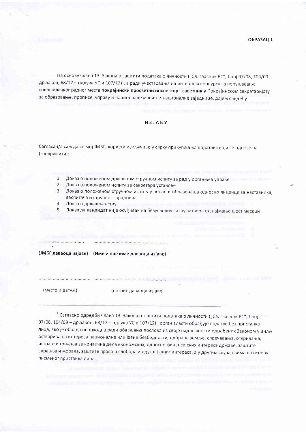ОБРАЗАЦ 1

На основу члана 13. Закона о заштити података о личности ("Сл. гласник РС", број 97/08, 104/09 др.закон, 68/12 - одлука УС и 107/12)<sup>1</sup>, а ради учествовања на интерном конкурсу за попуњавање извршилачког радног места покрајински просветни инспектор - саветник у Покрајинском секретаријату за образовање, прописе, управу и националне мањине-националне заједнице, дајем следећу

## *M3JABY*

Сагласан/а сам да се мој ЈМБГ, користи искључиво у сврху прикупљања података који се односе на (заокружити):

- 
- 1. Доказ о положеном државном стручном испиту за рад у органима управе
- 2. Доказ о положеном испиту за секретара установе
- 3. Доказ о положеном стручном испиту у области образовања односно лиценце за наставника, васпитача и стручног сарадника
- 4. Доказ о држављанству
- 5. Доказ да кандидат није осуђиван на безусловну казну затвора од најмање шест месеци

(ЈМБГ даваоца изјаве) (Име и презиме даваоца изјаве)

(место и датум)

(потпис даваоца изјаве)

<sup>1</sup> Сагласно одредби члана 13. Закона о заштити података о личности ("Сл. гласник РС", број 97/08, 104/09 - др.закон, 68/12 - одлука УС и 107/12), орган власти обрађује податке без пристанка лица, ако је обрада неопходна ради обављања послова из своје надлежности одређених Законом у циљу остваривања интереса националне или јавне безбедности, одбране земље, спречавања, откривања, истраге и гоњења за кривична дела економских, односно финансијских интереса државе, заштите здравља и морала, заштите права и слобода и другог јавног интереса, а у другим случајевима на основу писменог пристанка лица.